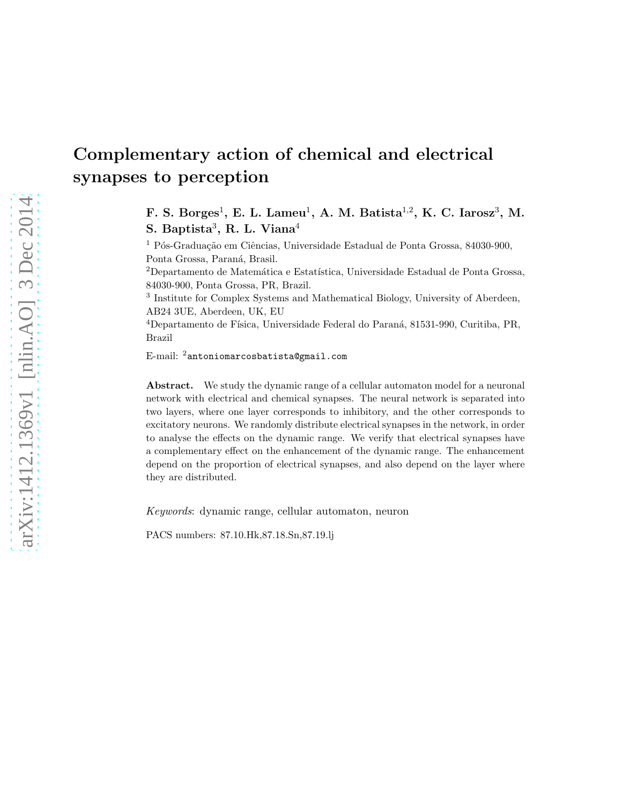# Complementary action of chemical and electrical synapses to perception

F. S. Borges<sup>1</sup>, E. L. Lameu<sup>1</sup>, A. M. Batista<sup>1,2</sup>, K. C. Iarosz<sup>3</sup>, M.  $S.$  Baptista ${}^{3},$  R. L. Viana ${}^{4}$ 

 $^1$  Pós-Graduação em Ciências, Universidade Estadual de Ponta Grossa, 84030-900, Ponta Grossa, Paraná, Brasil.

<sup>2</sup>Departamento de Matemática e Estatística, Universidade Estadual de Ponta Grossa, 84030-900, Ponta Grossa, PR, Brazil.

<sup>3</sup> Institute for Complex Systems and Mathematical Biology, University of Aberdeen, AB24 3UE, Aberdeen, UK, EU

<sup>4</sup>Departamento de Física, Universidade Federal do Paraná, 81531-990, Curitiba, PR, Brazil

E-mail: <sup>2</sup>antoniomarcosbatista@gmail.com

Abstract. We study the dynamic range of a cellular automaton model for a neuronal network with electrical and chemical synapses. The neural network is separated into two layers, where one layer corresponds to inhibitory, and the other corresponds to excitatory neurons. We randomly distribute electrical synapses in the network, in order to analyse the effects on the dynamic range. We verify that electrical synapses have a complementary effect on the enhancement of the dynamic range. The enhancement depend on the proportion of electrical synapses, and also depend on the layer where they are distributed.

Keywords: dynamic range, cellular automaton, neuron

PACS numbers: 87.10.Hk,87.18.Sn,87.19.lj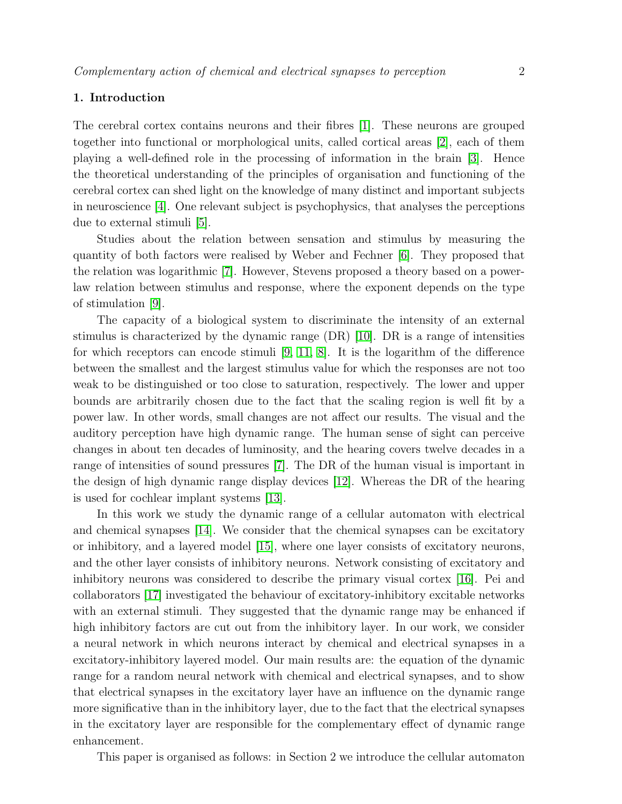# 1. Introduction

The cerebral cortex contains neurons and their fibres [\[1\]](#page-8-0). These neurons are grouped together into functional or morphological units, called cortical areas [\[2\]](#page-8-1), each of them playing a well-defined role in the processing of information in the brain [\[3\]](#page-8-2). Hence the theoretical understanding of the principles of organisation and functioning of the cerebral cortex can shed light on the knowledge of many distinct and important subjects in neuroscience [\[4\]](#page-8-3). One relevant subject is psychophysics, that analyses the perceptions due to external stimuli [\[5\]](#page-8-4).

Studies about the relation between sensation and stimulus by measuring the quantity of both factors were realised by Weber and Fechner [\[6\]](#page-8-5). They proposed that the relation was logarithmic [\[7\]](#page-8-6). However, Stevens proposed a theory based on a powerlaw relation between stimulus and response, where the exponent depends on the type of stimulation [\[9\]](#page-8-7).

The capacity of a biological system to discriminate the intensity of an external stimulus is characterized by the dynamic range (DR) [\[10\]](#page-8-8). DR is a range of intensities for which receptors can encode stimuli  $[9, 11, 8]$  $[9, 11, 8]$  $[9, 11, 8]$ . It is the logarithm of the difference between the smallest and the largest stimulus value for which the responses are not too weak to be distinguished or too close to saturation, respectively. The lower and upper bounds are arbitrarily chosen due to the fact that the scaling region is well fit by a power law. In other words, small changes are not affect our results. The visual and the auditory perception have high dynamic range. The human sense of sight can perceive changes in about ten decades of luminosity, and the hearing covers twelve decades in a range of intensities of sound pressures [\[7\]](#page-8-6). The DR of the human visual is important in the design of high dynamic range display devices [\[12\]](#page-8-11). Whereas the DR of the hearing is used for cochlear implant systems [\[13\]](#page-8-12).

In this work we study the dynamic range of a cellular automaton with electrical and chemical synapses [\[14\]](#page-8-13). We consider that the chemical synapses can be excitatory or inhibitory, and a layered model [\[15\]](#page-8-14), where one layer consists of excitatory neurons, and the other layer consists of inhibitory neurons. Network consisting of excitatory and inhibitory neurons was considered to describe the primary visual cortex [\[16\]](#page-8-15). Pei and collaborators [\[17\]](#page-8-16) investigated the behaviour of excitatory-inhibitory excitable networks with an external stimuli. They suggested that the dynamic range may be enhanced if high inhibitory factors are cut out from the inhibitory layer. In our work, we consider a neural network in which neurons interact by chemical and electrical synapses in a excitatory-inhibitory layered model. Our main results are: the equation of the dynamic range for a random neural network with chemical and electrical synapses, and to show that electrical synapses in the excitatory layer have an influence on the dynamic range more significative than in the inhibitory layer, due to the fact that the electrical synapses in the excitatory layer are responsible for the complementary effect of dynamic range enhancement.

This paper is organised as follows: in Section 2 we introduce the cellular automaton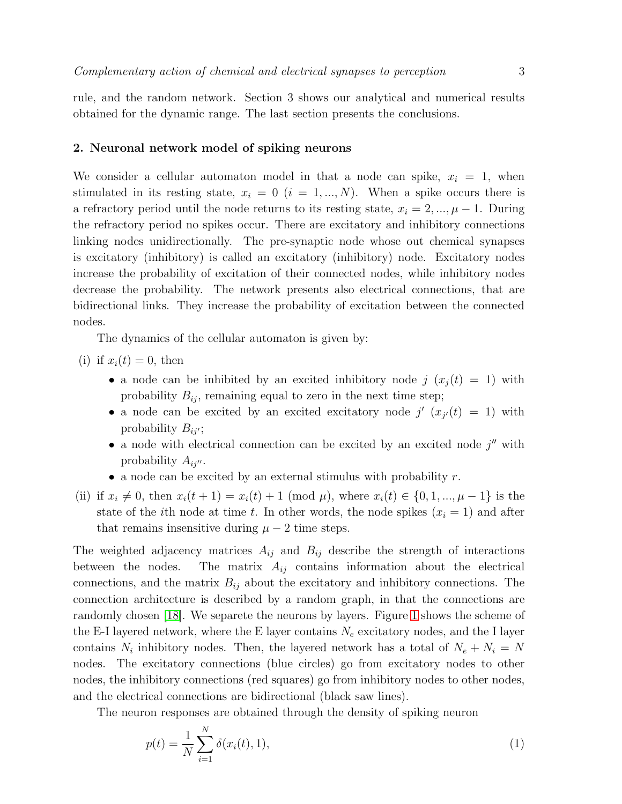rule, and the random network. Section 3 shows our analytical and numerical results obtained for the dynamic range. The last section presents the conclusions.

# 2. Neuronal network model of spiking neurons

We consider a cellular automaton model in that a node can spike,  $x_i = 1$ , when stimulated in its resting state,  $x_i = 0$   $(i = 1, ..., N)$ . When a spike occurs there is a refractory period until the node returns to its resting state,  $x_i = 2, ..., \mu - 1$ . During the refractory period no spikes occur. There are excitatory and inhibitory connections linking nodes unidirectionally. The pre-synaptic node whose out chemical synapses is excitatory (inhibitory) is called an excitatory (inhibitory) node. Excitatory nodes increase the probability of excitation of their connected nodes, while inhibitory nodes decrease the probability. The network presents also electrical connections, that are bidirectional links. They increase the probability of excitation between the connected nodes.

The dynamics of the cellular automaton is given by:

- (i) if  $x_i(t) = 0$ , then
	- a node can be inhibited by an excited inhibitory node  $j(x_i(t) = 1)$  with probability  $B_{ij}$ , remaining equal to zero in the next time step;
	- a node can be excited by an excited excitatory node  $j'(x_{j'}(t) = 1)$  with probability  $B_{ij'}$ ;
	- a node with electrical connection can be excited by an excited node  $j''$  with probability  $A_{ii''}$ .
	- a node can be excited by an external stimulus with probability  $r$ .
- (ii) if  $x_i \neq 0$ , then  $x_i(t + 1) = x_i(t) + 1 \pmod{\mu}$ , where  $x_i(t) \in \{0, 1, ..., \mu 1\}$  is the state of the *i*th node at time t. In other words, the node spikes  $(x<sub>i</sub> = 1)$  and after that remains insensitive during  $\mu - 2$  time steps.

The weighted adjacency matrices  $A_{ij}$  and  $B_{ij}$  describe the strength of interactions between the nodes. The matrix  $A_{ij}$  contains information about the electrical connections, and the matrix  $B_{ij}$  about the excitatory and inhibitory connections. The connection architecture is described by a random graph, in that the connections are randomly chosen [\[18\]](#page-9-0). We separete the neurons by layers. Figure [1](#page-3-0) shows the scheme of the E-I layered network, where the E layer contains  $N_e$  excitatory nodes, and the I layer contains  $N_i$  inhibitory nodes. Then, the layered network has a total of  $N_e + N_i = N$ nodes. The excitatory connections (blue circles) go from excitatory nodes to other nodes, the inhibitory connections (red squares) go from inhibitory nodes to other nodes, and the electrical connections are bidirectional (black saw lines).

The neuron responses are obtained through the density of spiking neuron

$$
p(t) = \frac{1}{N} \sum_{i=1}^{N} \delta(x_i(t), 1),
$$
\n(1)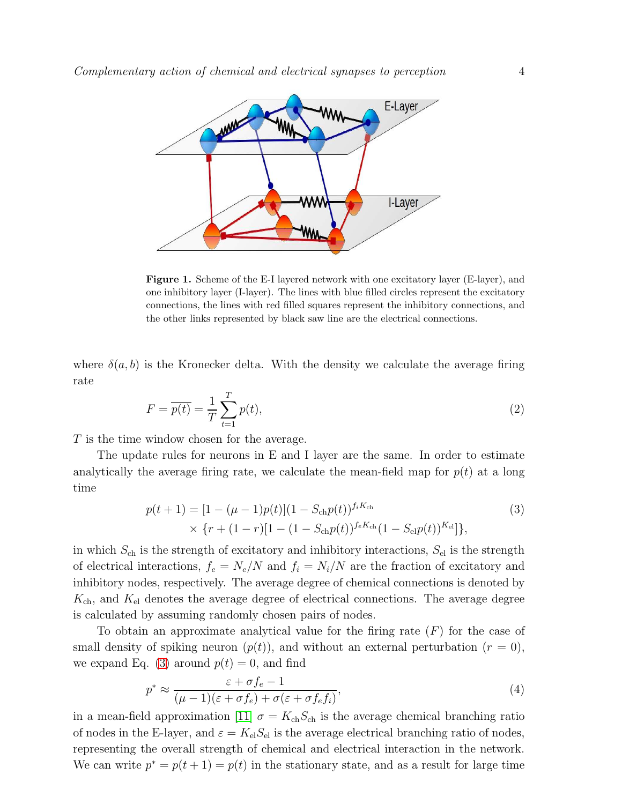

<span id="page-3-0"></span>Figure 1. Scheme of the E-I layered network with one excitatory layer (E-layer), and one inhibitory layer (I-layer). The lines with blue filled circles represent the excitatory connections, the lines with red filled squares represent the inhibitory connections, and the other links represented by black saw line are the electrical connections.

where  $\delta(a, b)$  is the Kronecker delta. With the density we calculate the average firing rate

$$
F = \overline{p(t)} = \frac{1}{T} \sum_{t=1}^{T} p(t),
$$
\n(2)

T is the time window chosen for the average.

The update rules for neurons in E and I layer are the same. In order to estimate analytically the average firing rate, we calculate the mean-field map for  $p(t)$  at a long time

<span id="page-3-1"></span>
$$
p(t+1) = [1 - (\mu - 1)p(t)](1 - S_{ch}p(t))^{f_i K_{ch}} \times \{r + (1 - r)[1 - (1 - S_{ch}p(t))^{f_e K_{ch}}(1 - S_{el}p(t))^{K_{el}}]\},
$$
\n(3)

in which  $S_{ch}$  is the strength of excitatory and inhibitory interactions,  $S_{el}$  is the strength of electrical interactions,  $f_e = N_e/N$  and  $f_i = N_i/N$  are the fraction of excitatory and inhibitory nodes, respectively. The average degree of chemical connections is denoted by  $K_{ch}$ , and  $K_{el}$  denotes the average degree of electrical connections. The average degree is calculated by assuming randomly chosen pairs of nodes.

To obtain an approximate analytical value for the firing rate  $(F)$  for the case of small density of spiking neuron  $(p(t))$ , and without an external perturbation  $(r = 0)$ , we expand Eq. [\(3\)](#page-3-1) around  $p(t) = 0$ , and find

<span id="page-3-2"></span>
$$
p^* \approx \frac{\varepsilon + \sigma f_e - 1}{(\mu - 1)(\varepsilon + \sigma f_e) + \sigma(\varepsilon + \sigma f_e f_i)},\tag{4}
$$

in a mean-field approximation [\[11\]](#page-8-9)  $\sigma = K_{ch} S_{ch}$  is the average chemical branching ratio of nodes in the E-layer, and  $\varepsilon = K_{el} S_{el}$  is the average electrical branching ratio of nodes, representing the overall strength of chemical and electrical interaction in the network. We can write  $p^* = p(t+1) = p(t)$  in the stationary state, and as a result for large time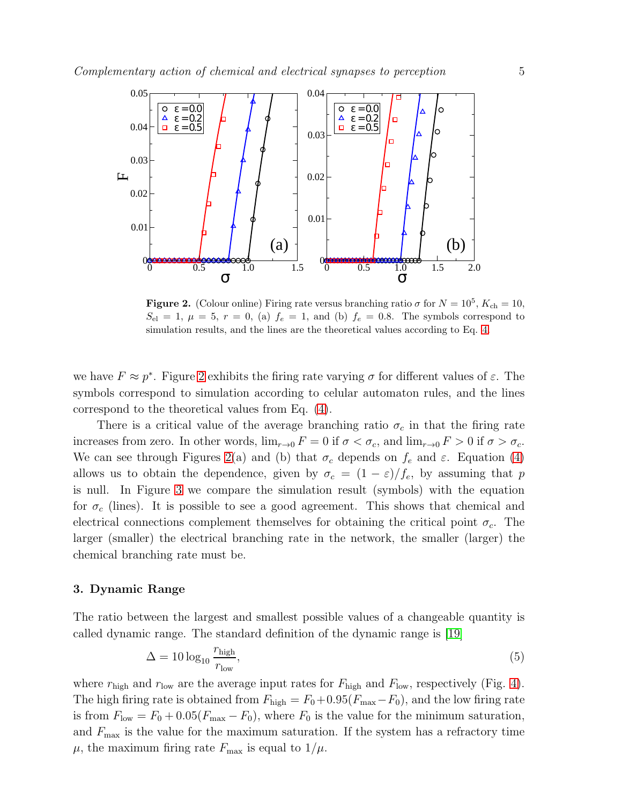

<span id="page-4-0"></span>**Figure 2.** (Colour online) Firing rate versus branching ratio  $\sigma$  for  $N = 10^5$ ,  $K_{ch} = 10$ ,  $S_{el} = 1, \mu = 5, r = 0,$  (a)  $f_e = 1$ , and (b)  $f_e = 0.8$ . The symbols correspond to simulation results, and the lines are the theoretical values according to Eq. [4.](#page-3-2)

we have  $F \approx p^*$ . Figure [2](#page-4-0) exhibits the firing rate varying  $\sigma$  for different values of  $\varepsilon$ . The symbols correspond to simulation according to celular automaton rules, and the lines correspond to the theoretical values from Eq. [\(4\)](#page-3-2).

There is a critical value of the average branching ratio  $\sigma_c$  in that the firing rate increases from zero. In other words,  $\lim_{r\to 0} F = 0$  if  $\sigma < \sigma_c$ , and  $\lim_{r\to 0} F > 0$  if  $\sigma > \sigma_c$ . We can see through Figures [2\(](#page-4-0)a) and (b) that  $\sigma_c$  depends on  $f_e$  and  $\varepsilon$ . Equation [\(4\)](#page-3-2) allows us to obtain the dependence, given by  $\sigma_c = (1 - \varepsilon)/f_e$ , by assuming that p is null. In Figure [3](#page-5-0) we compare the simulation result (symbols) with the equation for  $\sigma_c$  (lines). It is possible to see a good agreement. This shows that chemical and electrical connections complement themselves for obtaining the critical point  $\sigma_c$ . The larger (smaller) the electrical branching rate in the network, the smaller (larger) the chemical branching rate must be.

#### 3. Dynamic Range

The ratio between the largest and smallest possible values of a changeable quantity is called dynamic range. The standard definition of the dynamic range is [\[19\]](#page-9-1)

$$
\Delta = 10 \log_{10} \frac{r_{\text{high}}}{r_{\text{low}}},\tag{5}
$$

where  $r_{\text{high}}$  and  $r_{\text{low}}$  are the average input rates for  $F_{\text{high}}$  and  $F_{\text{low}}$ , respectively (Fig. [4\)](#page-5-1). The high firing rate is obtained from  $F_{\text{high}} = F_0 + 0.95(F_{\text{max}} - F_0)$ , and the low firing rate is from  $F_{\text{low}} = F_0 + 0.05(F_{\text{max}} - F_0)$ , where  $F_0$  is the value for the minimum saturation, and  $F_{\text{max}}$  is the value for the maximum saturation. If the system has a refractory time  $\mu$ , the maximum firing rate  $F_{\text{max}}$  is equal to  $1/\mu$ .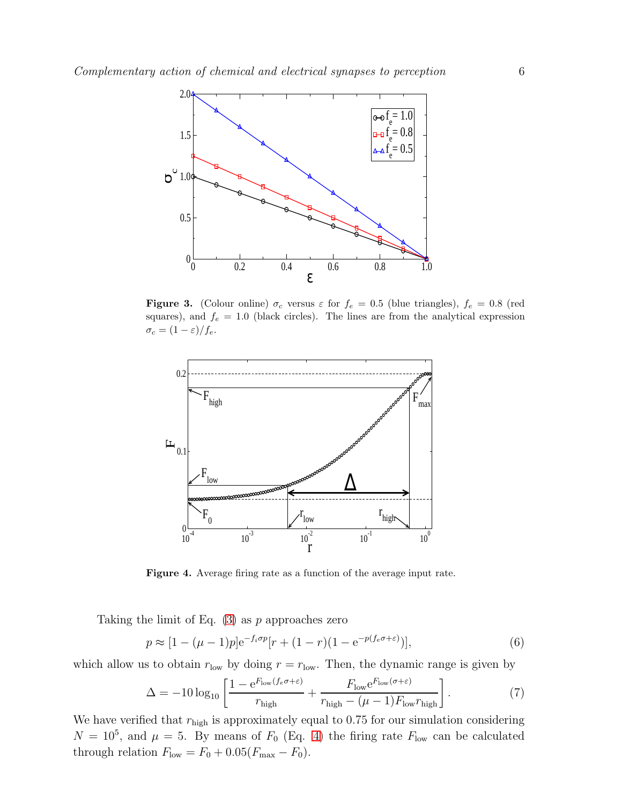

<span id="page-5-0"></span>**Figure 3.** (Colour online)  $\sigma_c$  versus  $\varepsilon$  for  $f_e = 0.5$  (blue triangles),  $f_e = 0.8$  (red squares), and  $f_e = 1.0$  (black circles). The lines are from the analytical expression  $\sigma_c = (1-\varepsilon)/f_e.$ 



<span id="page-5-1"></span>Figure 4. Average firing rate as a function of the average input rate.

Taking the limit of Eq.  $(3)$  as p approaches zero

$$
p \approx [1 - (\mu - 1)p]e^{-f_i \sigma p} [r + (1 - r)(1 - e^{-p(f_e \sigma + \varepsilon)})],
$$
\n(6)

which allow us to obtain  $r_{\text{low}}$  by doing  $r = r_{\text{low}}$ . Then, the dynamic range is given by

<span id="page-5-2"></span>
$$
\Delta = -10 \log_{10} \left[ \frac{1 - e^{F_{\text{low}}(f_e \sigma + \varepsilon)}}{r_{\text{high}}} + \frac{F_{\text{low}} e^{F_{\text{low}}(\sigma + \varepsilon)}}{r_{\text{high}} - (\mu - 1) F_{\text{low}} r_{\text{high}}} \right]. \tag{7}
$$

We have verified that  $r_{\text{high}}$  is approximately equal to 0.75 for our simulation considering  $N = 10<sup>5</sup>$ , and  $\mu = 5$ . By means of  $F_0$  (Eq. [4\)](#page-3-2) the firing rate  $F_{\text{low}}$  can be calculated through relation  $F_{\text{low}} = F_0 + 0.05(F_{\text{max}} - F_0)$ .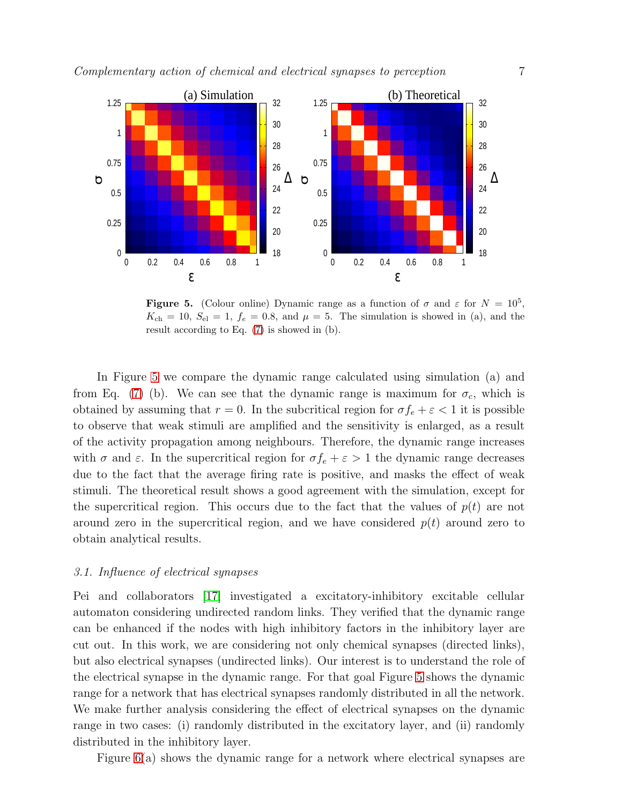

<span id="page-6-0"></span>**Figure 5.** (Colour online) Dynamic range as a function of  $\sigma$  and  $\varepsilon$  for  $N = 10^5$ ,  $K_{\rm ch} = 10$ ,  $S_{\rm el} = 1$ ,  $f_e = 0.8$ , and  $\mu = 5$ . The simulation is showed in (a), and the result according to Eq. [\(7\)](#page-5-2) is showed in (b).

In Figure [5](#page-6-0) we compare the dynamic range calculated using simulation (a) and from Eq. [\(7\)](#page-5-2) (b). We can see that the dynamic range is maximum for  $\sigma_c$ , which is obtained by assuming that  $r = 0$ . In the subcritical region for  $\sigma f_e + \varepsilon < 1$  it is possible to observe that weak stimuli are amplified and the sensitivity is enlarged, as a result of the activity propagation among neighbours. Therefore, the dynamic range increases with  $\sigma$  and  $\varepsilon$ . In the supercritical region for  $\sigma f_e + \varepsilon > 1$  the dynamic range decreases due to the fact that the average firing rate is positive, and masks the effect of weak stimuli. The theoretical result shows a good agreement with the simulation, except for the supercritical region. This occurs due to the fact that the values of  $p(t)$  are not around zero in the supercritical region, and we have considered  $p(t)$  around zero to obtain analytical results.

## 3.1. Influence of electrical synapses

Pei and collaborators [\[17\]](#page-8-16) investigated a excitatory-inhibitory excitable cellular automaton considering undirected random links. They verified that the dynamic range can be enhanced if the nodes with high inhibitory factors in the inhibitory layer are cut out. In this work, we are considering not only chemical synapses (directed links), but also electrical synapses (undirected links). Our interest is to understand the role of the electrical synapse in the dynamic range. For that goal Figure [5](#page-6-0) shows the dynamic range for a network that has electrical synapses randomly distributed in all the network. We make further analysis considering the effect of electrical synapses on the dynamic range in two cases: (i) randomly distributed in the excitatory layer, and (ii) randomly distributed in the inhibitory layer.

Figure [6\(](#page-7-0)a) shows the dynamic range for a network where electrical synapses are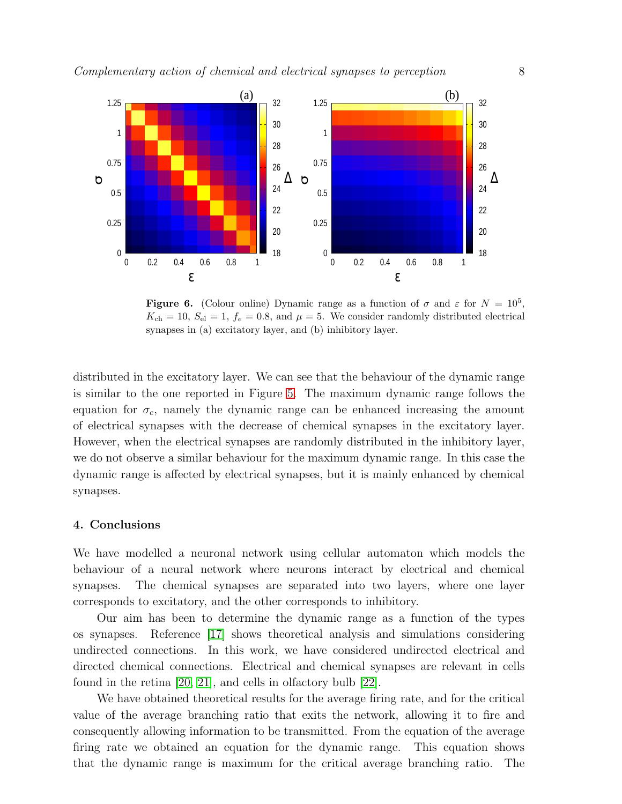

<span id="page-7-0"></span>**Figure 6.** (Colour online) Dynamic range as a function of  $\sigma$  and  $\varepsilon$  for  $N = 10^5$ ,  $K_{\rm ch} = 10$ ,  $S_{\rm el} = 1$ ,  $f_e = 0.8$ , and  $\mu = 5$ . We consider randomly distributed electrical synapses in (a) excitatory layer, and (b) inhibitory layer.

distributed in the excitatory layer. We can see that the behaviour of the dynamic range is similar to the one reported in Figure [5.](#page-6-0) The maximum dynamic range follows the equation for  $\sigma_c$ , namely the dynamic range can be enhanced increasing the amount of electrical synapses with the decrease of chemical synapses in the excitatory layer. However, when the electrical synapses are randomly distributed in the inhibitory layer, we do not observe a similar behaviour for the maximum dynamic range. In this case the dynamic range is affected by electrical synapses, but it is mainly enhanced by chemical synapses.

## 4. Conclusions

We have modelled a neuronal network using cellular automaton which models the behaviour of a neural network where neurons interact by electrical and chemical synapses. The chemical synapses are separated into two layers, where one layer corresponds to excitatory, and the other corresponds to inhibitory.

Our aim has been to determine the dynamic range as a function of the types os synapses. Reference [\[17\]](#page-8-16) shows theoretical analysis and simulations considering undirected connections. In this work, we have considered undirected electrical and directed chemical connections. Electrical and chemical synapses are relevant in cells found in the retina [\[20,](#page-9-2) [21\]](#page-9-3), and cells in olfactory bulb [\[22\]](#page-9-4).

We have obtained theoretical results for the average firing rate, and for the critical value of the average branching ratio that exits the network, allowing it to fire and consequently allowing information to be transmitted. From the equation of the average firing rate we obtained an equation for the dynamic range. This equation shows that the dynamic range is maximum for the critical average branching ratio. The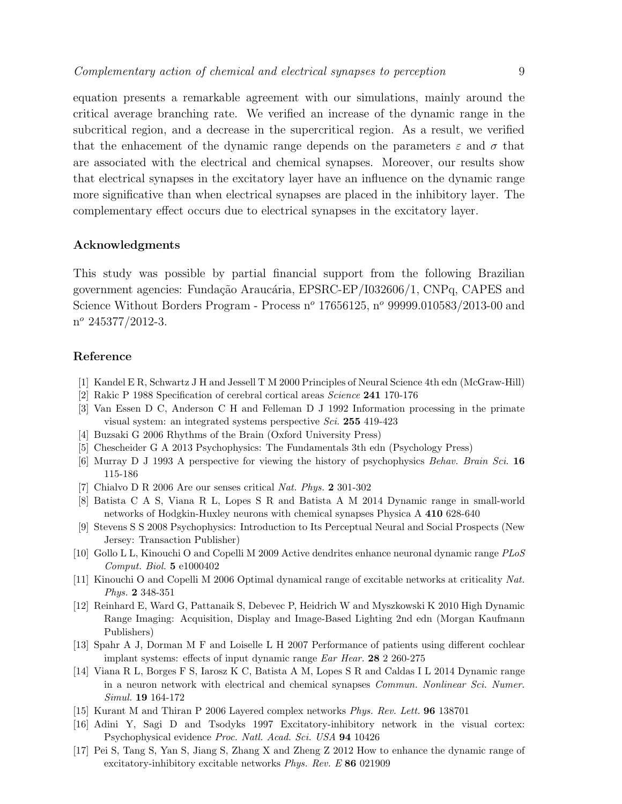equation presents a remarkable agreement with our simulations, mainly around the critical average branching rate. We verified an increase of the dynamic range in the subcritical region, and a decrease in the supercritical region. As a result, we verified that the enhacement of the dynamic range depends on the parameters  $\varepsilon$  and  $\sigma$  that are associated with the electrical and chemical synapses. Moreover, our results show that electrical synapses in the excitatory layer have an influence on the dynamic range more significative than when electrical synapses are placed in the inhibitory layer. The complementary effect occurs due to electrical synapses in the excitatory layer.

## Acknowledgments

This study was possible by partial financial support from the following Brazilian government agencies: Fundação Araucária, EPSRC-EP/I032606/1, CNPq, CAPES and Science Without Borders Program - Process n<sup>o</sup> 17656125, n<sup>o</sup> 99999.010583/2013-00 and  $n^o$  245377/2012-3.

#### <span id="page-8-0"></span>Reference

- <span id="page-8-1"></span>[1] Kandel E R, Schwartz J H and Jessell T M 2000 Principles of Neural Science 4th edn (McGraw-Hill)
- <span id="page-8-2"></span>[2] Rakic P 1988 Specification of cerebral cortical areas Science 241 170-176
- <span id="page-8-3"></span>[3] Van Essen D C, Anderson C H and Felleman D J 1992 Information processing in the primate visual system: an integrated systems perspective Sci. 255 419-423
- <span id="page-8-4"></span>[4] Buzsaki G 2006 Rhythms of the Brain (Oxford University Press)
- <span id="page-8-5"></span>[5] Chescheider G A 2013 Psychophysics: The Fundamentals 3th edn (Psychology Press)
- <span id="page-8-6"></span>[6] Murray D J 1993 A perspective for viewing the history of psychophysics Behav. Brain Sci. 16 115-186
- <span id="page-8-10"></span>[7] Chialvo D R 2006 Are our senses critical Nat. Phys. 2 301-302
- <span id="page-8-7"></span>[8] Batista C A S, Viana R L, Lopes S R and Batista A M 2014 Dynamic range in small-world networks of Hodgkin-Huxley neurons with chemical synapses Physica A 410 628-640
- [9] Stevens S S 2008 Psychophysics: Introduction to Its Perceptual Neural and Social Prospects (New Jersey: Transaction Publisher)
- <span id="page-8-8"></span>[10] Gollo L L, Kinouchi O and Copelli M 2009 Active dendrites enhance neuronal dynamic range PLoS Comput. Biol. 5 e1000402
- <span id="page-8-9"></span>[11] Kinouchi O and Copelli M 2006 Optimal dynamical range of excitable networks at criticality Nat. Phys. 2 348-351
- <span id="page-8-11"></span>[12] Reinhard E, Ward G, Pattanaik S, Debevec P, Heidrich W and Myszkowski K 2010 High Dynamic Range Imaging: Acquisition, Display and Image-Based Lighting 2nd edn (Morgan Kaufmann Publishers)
- <span id="page-8-12"></span>[13] Spahr A J, Dorman M F and Loiselle L H 2007 Performance of patients using different cochlear implant systems: effects of input dynamic range Ear Hear. 28 2 260-275
- <span id="page-8-13"></span>[14] Viana R L, Borges F S, Iarosz K C, Batista A M, Lopes S R and Caldas I L 2014 Dynamic range in a neuron network with electrical and chemical synapses *Commun. Nonlinear Sci. Numer.* Simul. 19 164-172
- <span id="page-8-15"></span><span id="page-8-14"></span>[15] Kurant M and Thiran P 2006 Layered complex networks Phys. Rev. Lett. 96 138701
- [16] Adini Y, Sagi D and Tsodyks 1997 Excitatory-inhibitory network in the visual cortex: Psychophysical evidence Proc. Natl. Acad. Sci. USA 94 10426
- <span id="page-8-16"></span>[17] Pei S, Tang S, Yan S, Jiang S, Zhang X and Zheng Z 2012 How to enhance the dynamic range of excitatory-inhibitory excitable networks Phys. Rev. E 86 021909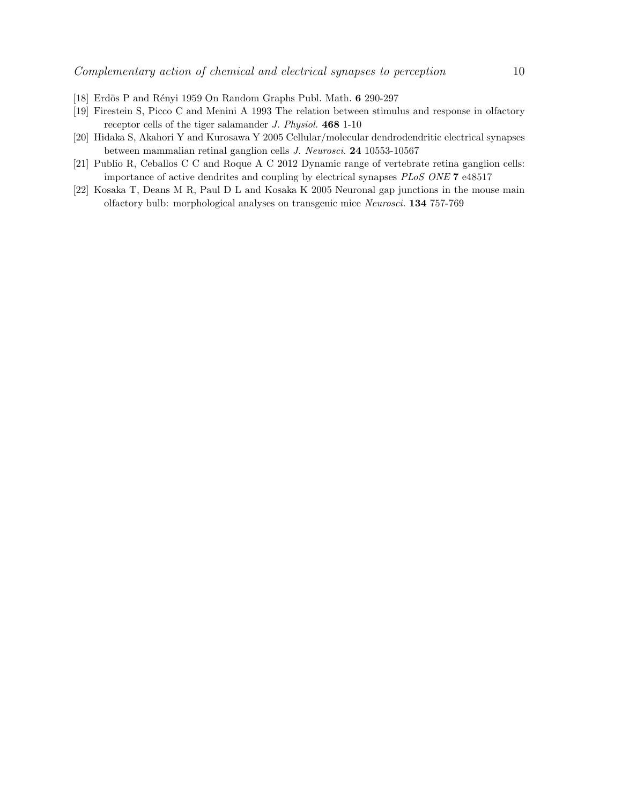- <span id="page-9-1"></span><span id="page-9-0"></span>[18] Erdös P and Rényi 1959 On Random Graphs Publ. Math. 6 290-297
- <span id="page-9-2"></span>[19] Firestein S, Picco C and Menini A 1993 The relation between stimulus and response in olfactory receptor cells of the tiger salamander J. Physiol. 468 1-10
- <span id="page-9-3"></span>[20] Hidaka S, Akahori Y and Kurosawa Y 2005 Cellular/molecular dendrodendritic electrical synapses between mammalian retinal ganglion cells J. Neurosci. 24 10553-10567
- <span id="page-9-4"></span>[21] Publio R, Ceballos C C and Roque A C 2012 Dynamic range of vertebrate retina ganglion cells: importance of active dendrites and coupling by electrical synapses PLoS ONE 7 e48517
- [22] Kosaka T, Deans M R, Paul D L and Kosaka K 2005 Neuronal gap junctions in the mouse main olfactory bulb: morphological analyses on transgenic mice Neurosci. 134 757-769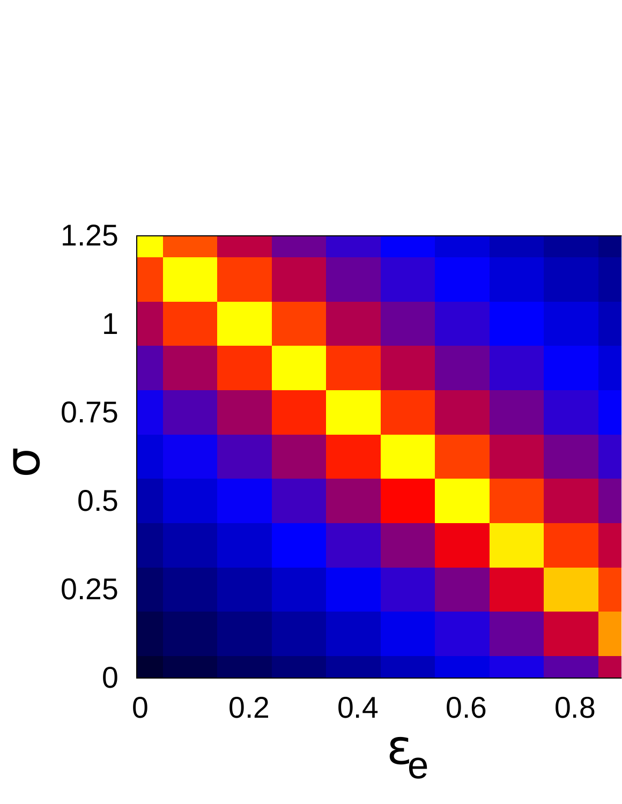